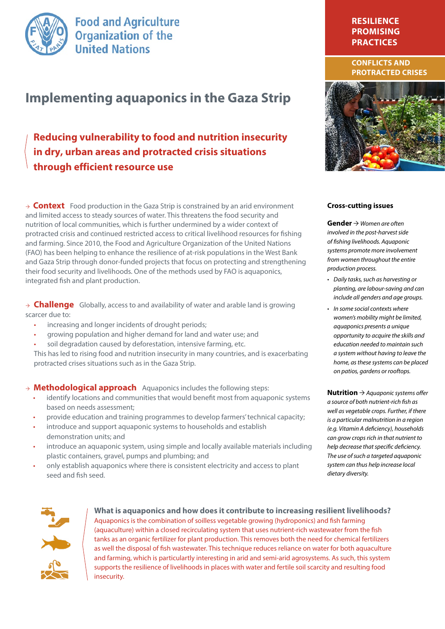

**Food and Agriculture Organization of the United Nations** 

# **Implementing aquaponics in the Gaza Strip**

# **Reducing vulnerability to food and nutrition insecurity in dry, urban areas and protracted crisis situations through efficient resource use**

 $\rightarrow$  **Context** Food production in the Gaza Strip is constrained by an arid environment and limited access to steady sources of water. This threatens the food security and nutrition of local communities, which is further undermined by a wider context of protracted crisis and continued restricted access to critical livelihood resources for fishing and farming. Since 2010, the Food and Agriculture Organization of the United Nations (FAO) has been helping to enhance the resilience of at-risk populations in the West Bank and Gaza Strip through donor-funded projects that focus on protecting and strengthening their food security and livelihoods. One of the methods used by FAO is aquaponics, integrated fish and plant production.

 $\rightarrow$  **Challenge** Globally, access to and availability of water and arable land is growing scarcer due to:

- increasing and longer incidents of drought periods;
- growing population and higher demand for land and water use; and
- soil degradation caused by deforestation, intensive farming, etc.

This has led to rising food and nutrition insecurity in many countries, and is exacerbating protracted crises situations such as in the Gaza Strip.

- $\rightarrow$  **Methodological approach** Aquaponics includes the following steps:
	- identify locations and communities that would benefit most from aquaponic systems based on needs assessment;
	- provide education and training programmes to develop farmers' technical capacity;
	- introduce and support aquaponic systems to households and establish demonstration units; and
	- introduce an aquaponic system, using simple and locally available materials including plastic containers, gravel, pumps and plumbing; and
	- only establish aquaponics where there is consistent electricity and access to plant seed and fish seed.

## **resilience Promising Practices**

#### **ConflicTS and Protracted crisEs**



#### **Cross-cutting issues**

**Gender**  $\rightarrow$  *Women are often involved in the post-harvest side of fishing livelihoods. Aquaponic systems promote more involvement from women throughout the entire production process.* 

- • *Daily tasks, such as harvesting or planting, are labour-saving and can include all genders and age groups.*
- • *In some social contexts where women's mobility might be limited, aquaponics presents a unique opportunity to acquire the skills and education needed to maintain such a system without having to leave the home, as these systems can be placed on patios, gardens or rooftops.*

**Nutrition**  $\rightarrow$  Aquaponic systems offer *a source of both nutrient-rich fish as well as vegetable crops. Further, if there is a particular malnutrition in a region (e.g. Vitamin A deficiency), households can grow crops rich in that nutrient to help decrease that specific deficiency. The use of such a targeted aquaponic system can thus help increase local dietary diversity.* 



**What is aquaponics and how does it contribute to increasing resilient livelihoods?**  Aquaponics is the combination of soilless vegetable growing (hydroponics) and fish farming (aquaculture) within a closed recirculating system that uses nutrient-rich wastewater from the fish tanks as an organic fertilizer for plant production. This removes both the need for chemical fertilizers as well the disposal of fish wastewater. This technique reduces reliance on water for both aquaculture and farming, which is particulartly interesting in arid and semi-arid agrosystems. As such, this system supports the resilience of livelihoods in places with water and fertile soil scarcity and resulting food insecurity.